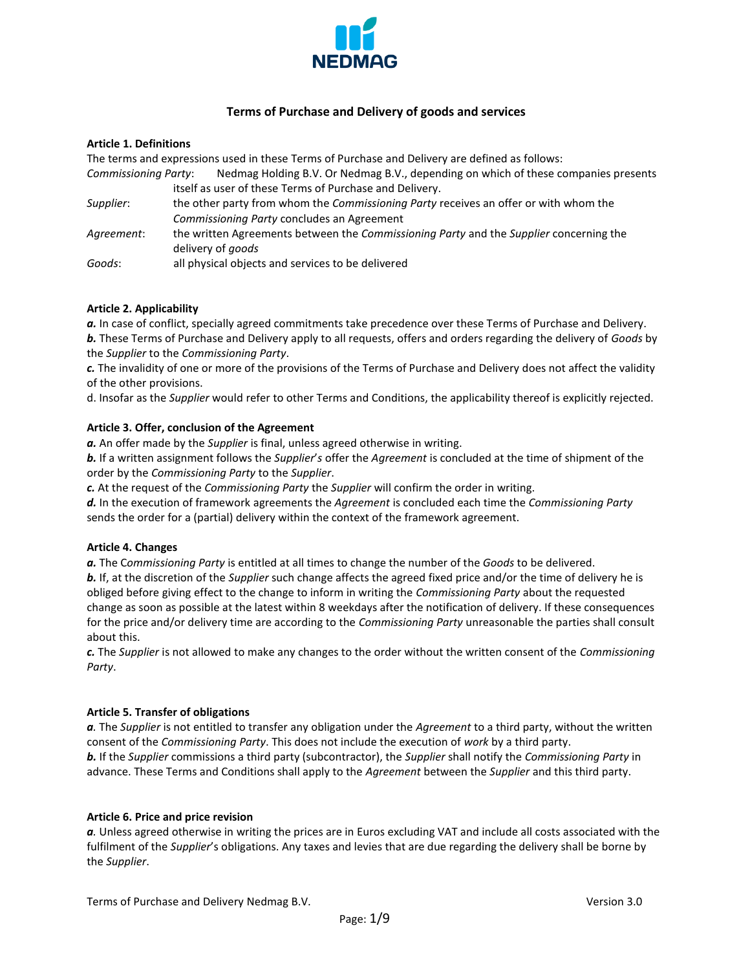

# **Terms of Purchase and Delivery of goods and services**

## **Article 1. Definitions**

The terms and expressions used in these Terms of Purchase and Delivery are defined as follows:

*Commissioning Party*: Nedmag Holding B.V. Or Nedmag B.V., depending on which of these companies presents itself as user of these Terms of Purchase and Delivery.

- *Supplier*: the other party from whom the *Commissioning Party* receives an offer or with whom the *Commissioning Party* concludes an Agreement
- *Agreement*: the written Agreements between the *Commissioning Party* and the *Supplier* concerning the delivery of *goods*

*Goods*: all physical objects and services to be delivered

## **Article 2. Applicability**

*a.* In case of conflict, specially agreed commitments take precedence over these Terms of Purchase and Delivery.

*b.* These Terms of Purchase and Delivery apply to all requests, offers and orders regarding the delivery of *Goods* by the *Supplier* to the *Commissioning Party*.

*c.* The invalidity of one or more of the provisions of the Terms of Purchase and Delivery does not affect the validity of the other provisions.

d. Insofar as the *Supplier* would refer to other Terms and Conditions, the applicability thereof is explicitly rejected.

# **Article 3. Offer, conclusion of the Agreement**

*a.* An offer made by the *Supplier* is final, unless agreed otherwise in writing.

*b.* If a written assignment follows the *Supplier*'*s* offer the *Agreement* is concluded at the time of shipment of the order by the *Commissioning Party* to the *Supplier*.

*c.* At the request of the *Commissioning Party* the *Supplier* will confirm the order in writing.

*d.* In the execution of framework agreements the *Agreement* is concluded each time the *Commissioning Party* sends the order for a (partial) delivery within the context of the framework agreement.

### **Article 4. Changes**

*a.* The C*ommissioning Party* is entitled at all times to change the number of the *Goods* to be delivered.

*b.* If, at the discretion of the *Supplier* such change affects the agreed fixed price and/or the time of delivery he is obliged before giving effect to the change to inform in writing the *Commissioning Party* about the requested change as soon as possible at the latest within 8 weekdays after the notification of delivery. If these consequences for the price and/or delivery time are according to the *Commissioning Party* unreasonable the parties shall consult about this.

*c.* The *Supplier* is not allowed to make any changes to the order without the written consent of the *Commissioning Party*.

### **Article 5. Transfer of obligations**

*a.* The *Supplier* is not entitled to transfer any obligation under the *Agreement* to a third party, without the written consent of the *Commissioning Party*. This does not include the execution of *work* by a third party. *b.* If the *Supplier* commissions a third party (subcontractor), the *Supplier* shall notify the *Commissioning Party* in advance. These Terms and Conditions shall apply to the *Agreement* between the *Supplier* and this third party.

# **Article 6. Price and price revision**

*a.* Unless agreed otherwise in writing the prices are in Euros excluding VAT and include all costs associated with the fulfilment of the *Supplier*'s obligations. Any taxes and levies that are due regarding the delivery shall be borne by the *Supplier*.

Terms of Purchase and Delivery Nedmag B.V. Version 3.0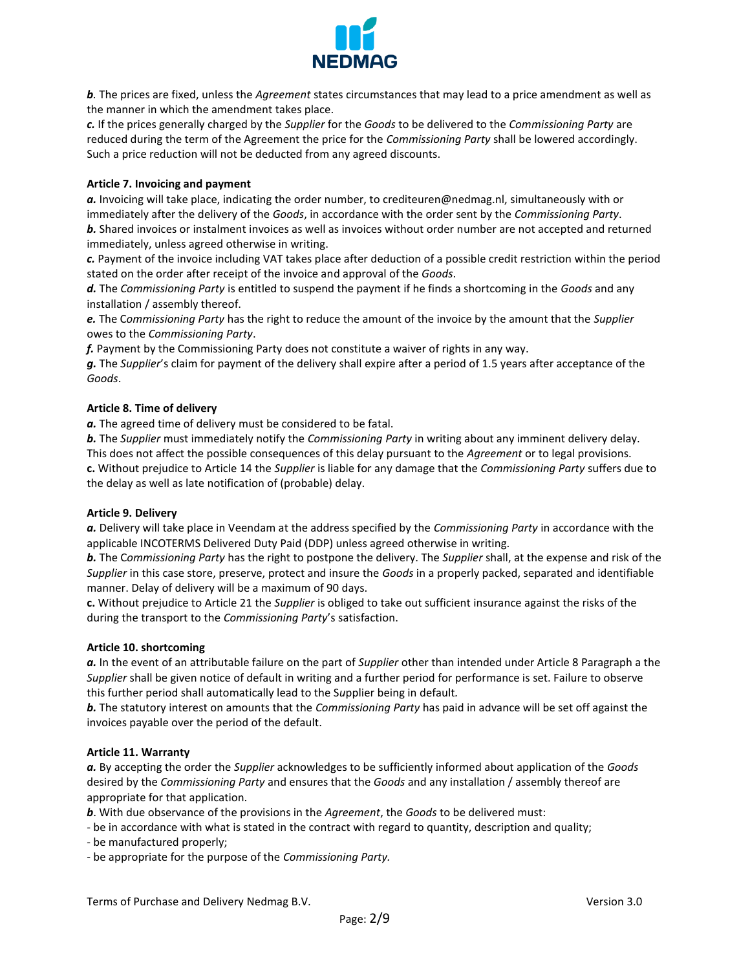

*b.* The prices are fixed, unless the *Agreement* states circumstances that may lead to a price amendment as well as the manner in which the amendment takes place.

*c.* If the prices generally charged by the *Supplier* for the *Goods* to be delivered to the *Commissioning Party* are reduced during the term of the Agreement the price for the *Commissioning Party* shall be lowered accordingly. Such a price reduction will not be deducted from any agreed discounts.

## **Article 7. Invoicing and payment**

*a.* Invoicing will take place, indicating the order number, to crediteuren@nedmag.nl, simultaneously with or immediately after the delivery of the *Goods*, in accordance with the order sent by the *Commissioning Party*.

*b.* Shared invoices or instalment invoices as well as invoices without order number are not accepted and returned immediately, unless agreed otherwise in writing.

*c.* Payment of the invoice including VAT takes place after deduction of a possible credit restriction within the period stated on the order after receipt of the invoice and approval of the *Goods*.

*d.* The *Commissioning Party* is entitled to suspend the payment if he finds a shortcoming in the *Goods* and any installation / assembly thereof.

*e.* The C*ommissioning Party* has the right to reduce the amount of the invoice by the amount that the *Supplier* owes to the *Commissioning Party*.

*f.* Payment by the Commissioning Party does not constitute a waiver of rights in any way.

*g.* The *Supplier*'s claim for payment of the delivery shall expire after a period of 1.5 years after acceptance of the *Goods*.

## **Article 8. Time of delivery**

*a.* The agreed time of delivery must be considered to be fatal.

*b.* The *Supplier* must immediately notify the *Commissioning Party* in writing about any imminent delivery delay. This does not affect the possible consequences of this delay pursuant to the *Agreement* or to legal provisions. **c.** Without prejudice to Article 14 the *Supplier* is liable for any damage that the *Commissioning Party* suffers due to the delay as well as late notification of (probable) delay.

### **Article 9. Delivery**

*a.* Delivery will take place in Veendam at the address specified by the *Commissioning Party* in accordance with the applicable INCOTERMS Delivered Duty Paid (DDP) unless agreed otherwise in writing.

*b.* The C*ommissioning Party* has the right to postpone the delivery. The *Supplier* shall, at the expense and risk of the *Supplier* in this case store, preserve, protect and insure the *Goods* in a properly packed, separated and identifiable manner. Delay of delivery will be a maximum of 90 days.

**c.** Without prejudice to Article 21 the *Supplier* is obliged to take out sufficient insurance against the risks of the during the transport to the *Commissioning Party*'s satisfaction.

### **Article 10. shortcoming**

*a.* In the event of an attributable failure on the part of *Supplier* other than intended under Article 8 Paragraph a the *Supplier* shall be given notice of default in writing and a further period for performance is set. Failure to observe this further period shall automatically lead to the S*u*pplier being in default*.*

*b.* The statutory interest on amounts that the *Commissioning Party* has paid in advance will be set off against the invoices payable over the period of the default.

### **Article 11. Warranty**

*a.* By accepting the order the *Supplier* acknowledges to be sufficiently informed about application of the *Goods* desired by the *Commissioning Party* and ensures that the *Goods* and any installation / assembly thereof are appropriate for that application.

*b*. With due observance of the provisions in the *Agreement*, the *Goods* to be delivered must:

- be in accordance with what is stated in the contract with regard to quantity, description and quality;

- be manufactured properly;
- be appropriate for the purpose of the *Commissioning Party.*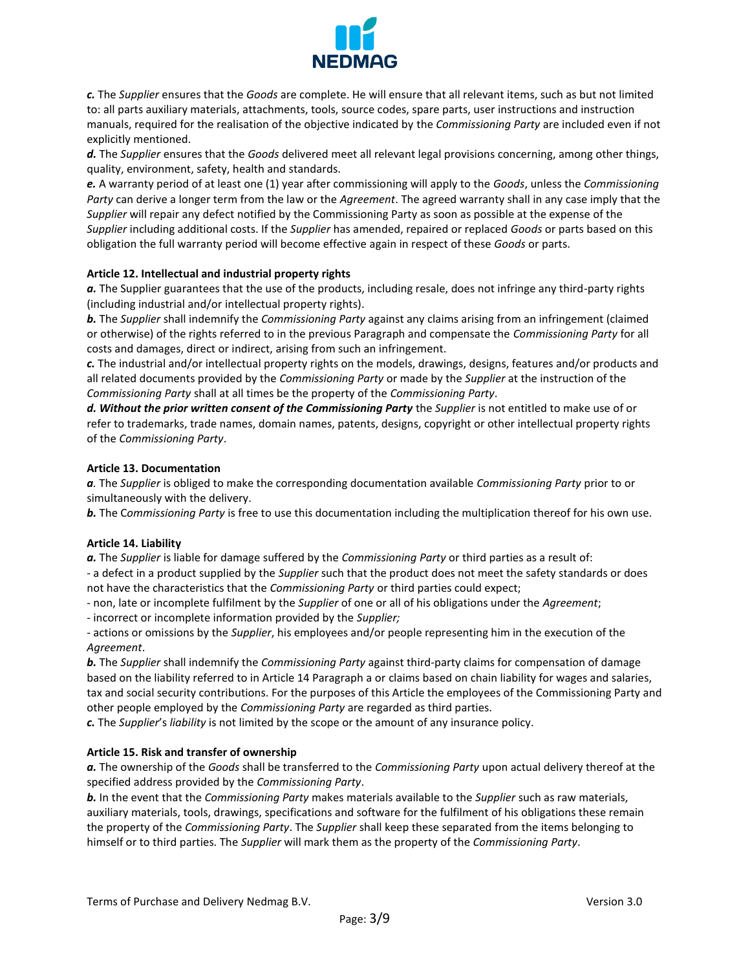

*c.* The *Supplier* ensures that the *Goods* are complete. He will ensure that all relevant items, such as but not limited to: all parts auxiliary materials, attachments, tools, source codes, spare parts, user instructions and instruction manuals, required for the realisation of the objective indicated by the *Commissioning Party* are included even if not explicitly mentioned.

*d.* The *Supplier* ensures that the *Goods* delivered meet all relevant legal provisions concerning, among other things, quality, environment, safety, health and standards.

*e.* A warranty period of at least one (1) year after commissioning will apply to the *Goods*, unless the *Commissioning Party* can derive a longer term from the law or the *Agreement*. The agreed warranty shall in any case imply that the *Supplier* will repair any defect notified by the Commissioning Party as soon as possible at the expense of the *Supplier* including additional costs. If the *Supplier* has amended, repaired or replaced *Goods* or parts based on this obligation the full warranty period will become effective again in respect of these *Goods* or parts.

## **Article 12. Intellectual and industrial property rights**

*a.* The Supplier guarantees that the use of the products, including resale, does not infringe any third-party rights (including industrial and/or intellectual property rights).

*b.* The *Supplier* shall indemnify the *Commissioning Party* against any claims arising from an infringement (claimed or otherwise) of the rights referred to in the previous Paragraph and compensate the *Commissioning Party* for all costs and damages, direct or indirect, arising from such an infringement.

*c.* The industrial and/or intellectual property rights on the models, drawings, designs, features and/or products and all related documents provided by the *Commissioning Party* or made by the *Supplier* at the instruction of the *Commissioning Party* shall at all times be the property of the *Commissioning Party*.

*d. Without the prior written consent of the Commissioning Party* the *Supplier* is not entitled to make use of or refer to trademarks, trade names, domain names, patents, designs, copyright or other intellectual property rights of the *Commissioning Party*.

## **Article 13. Documentation**

*a.* The *Supplier* is obliged to make the corresponding documentation available *Commissioning Party* prior to or simultaneously with the delivery.

*b.* The C*ommissioning Party* is free to use this documentation including the multiplication thereof for his own use.

### **Article 14. Liability**

*a.* The *Supplier* is liable for damage suffered by the *Commissioning Party* or third parties as a result of:

- a defect in a product supplied by the *Supplier* such that the product does not meet the safety standards or does not have the characteristics that the *Commissioning Party* or third parties could expect;

- non, late or incomplete fulfilment by the *Supplier* of one or all of his obligations under the *Agreement*;

- incorrect or incomplete information provided by the *Supplier;*

- actions or omissions by the *Supplier*, his employees and/or people representing him in the execution of the *Agreement*.

*b.* The *Supplier* shall indemnify the *Commissioning Party* against third-party claims for compensation of damage based on the liability referred to in Article 14 Paragraph a or claims based on chain liability for wages and salaries, tax and social security contributions. For the purposes of this Article the employees of the Commissioning Party and other people employed by the *Commissioning Party* are regarded as third parties.

*c.* The *Supplier*'s *liability* is not limited by the scope or the amount of any insurance policy.

# **Article 15. Risk and transfer of ownership**

*a.* The ownership of the *Goods* shall be transferred to the *Commissioning Party* upon actual delivery thereof at the specified address provided by the *Commissioning Party*.

*b.* In the event that the *Commissioning Party* makes materials available to the *Supplier* such as raw materials, auxiliary materials, tools, drawings, specifications and software for the fulfilment of his obligations these remain the property of the *Commissioning Party*. The *Supplier* shall keep these separated from the items belonging to himself or to third parties. The *Supplier* will mark them as the property of the *Commissioning Party*.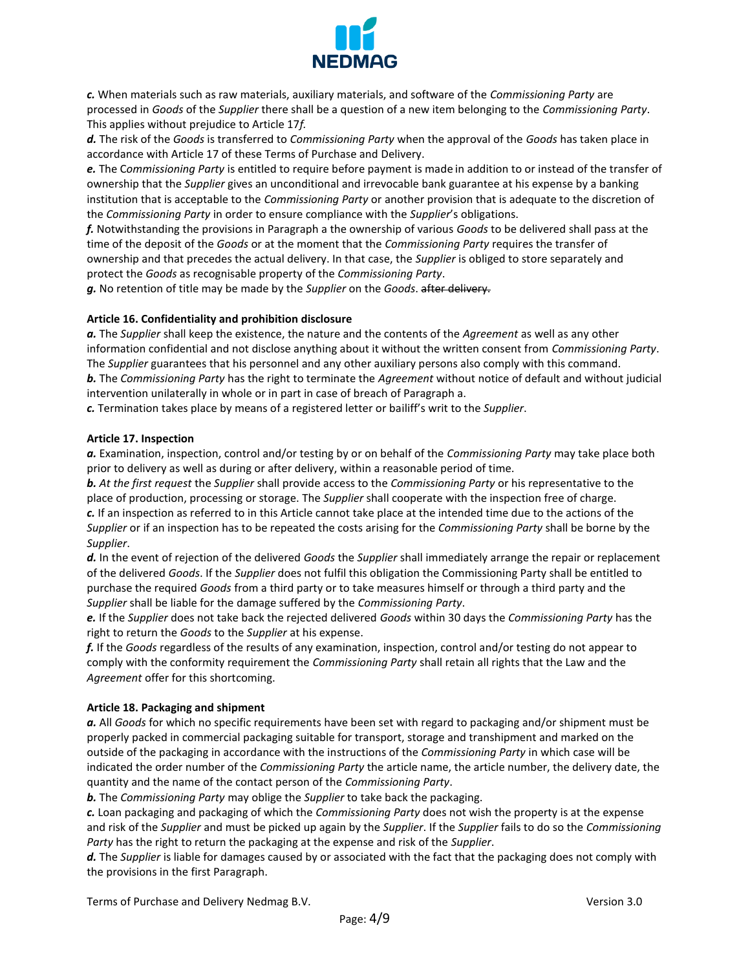

*c.* When materials such as raw materials, auxiliary materials, and software of the *Commissioning Party* are processed in *Goods* of the *Supplier* there shall be a question of a new item belonging to the *Commissioning Party*. This applies without prejudice to Article 17*f.*

*d.* The risk of the *Goods* is transferred to *Commissioning Party* when the approval of the *Goods* has taken place in accordance with Article 17 of these Terms of Purchase and Delivery.

*e.* The C*ommissioning Party* is entitled to require before payment is made in addition to or instead of the transfer of ownership that the *Supplier* gives an unconditional and irrevocable bank guarantee at his expense by a banking institution that is acceptable to the *Commissioning Party* or another provision that is adequate to the discretion of the *Commissioning Party* in order to ensure compliance with the *Supplier*'s obligations.

*f.* Notwithstanding the provisions in Paragraph a the ownership of various *Goods* to be delivered shall pass at the time of the deposit of the *Goods* or at the moment that the *Commissioning Party* requires the transfer of ownership and that precedes the actual delivery. In that case, the *Supplier* is obliged to store separately and protect the *Goods* as recognisable property of the *Commissioning Party*.

*g.* No retention of title may be made by the *Supplier* on the *Goods*. after delivery.

# **Article 16. Confidentiality and prohibition disclosure**

*a.* The *Supplier* shall keep the existence, the nature and the contents of the *Agreement* as well as any other information confidential and not disclose anything about it without the written consent from *Commissioning Party*. The *Supplier* guarantees that his personnel and any other auxiliary persons also comply with this command. *b.* The *Commissioning Party* has the right to terminate the *Agreement* without notice of default and without judicial

intervention unilaterally in whole or in part in case of breach of Paragraph a.

*c.* Termination takes place by means of a registered letter or bailiff's writ to the *Supplier*.

# **Article 17. Inspection**

*a.* Examination, inspection, control and/or testing by or on behalf of the *Commissioning Party* may take place both prior to delivery as well as during or after delivery, within a reasonable period of time.

*b. At the first request* the *Supplier* shall provide access to the *Commissioning Party* or his representative to the place of production, processing or storage. The *Supplier* shall cooperate with the inspection free of charge. *c.* If an inspection as referred to in this Article cannot take place at the intended time due to the actions of the *Supplier* or if an inspection has to be repeated the costs arising for the *Commissioning Party* shall be borne by the *Supplier*.

*d.* In the event of rejection of the delivered *Goods* the *Supplier* shall immediately arrange the repair or replacement of the delivered *Goods*. If the *Supplier* does not fulfil this obligation the Commissioning Party shall be entitled to purchase the required *Goods* from a third party or to take measures himself or through a third party and the *Supplier* shall be liable for the damage suffered by the *Commissioning Party*.

*e.* If the *Supplier* does not take back the rejected delivered *Goods* within 30 days the *Commissioning Party* has the right to return the *Goods* to the *Supplier* at his expense.

*f.* If the *Goods* regardless of the results of any examination, inspection, control and/or testing do not appear to comply with the conformity requirement the *Commissioning Party* shall retain all rights that the Law and the *Agreement* offer for this shortcoming.

# **Article 18. Packaging and shipment**

*a.* All *Goods* for which no specific requirements have been set with regard to packaging and/or shipment must be properly packed in commercial packaging suitable for transport, storage and transhipment and marked on the outside of the packaging in accordance with the instructions of the *Commissioning Party* in which case will be indicated the order number of the *Commissioning Party* the article name, the article number, the delivery date, the quantity and the name of the contact person of the *Commissioning Party*.

*b.* The *Commissioning Party* may oblige the *Supplier* to take back the packaging.

*c.* Loan packaging and packaging of which the *Commissioning Party* does not wish the property is at the expense and risk of the *Supplier* and must be picked up again by the *Supplier*. If the *Supplier* fails to do so the *Commissioning Party* has the right to return the packaging at the expense and risk of the *Supplier*.

*d.* The *Supplier* is liable for damages caused by or associated with the fact that the packaging does not comply with the provisions in the first Paragraph.

Terms of Purchase and Delivery Nedmag B.V. Version 3.0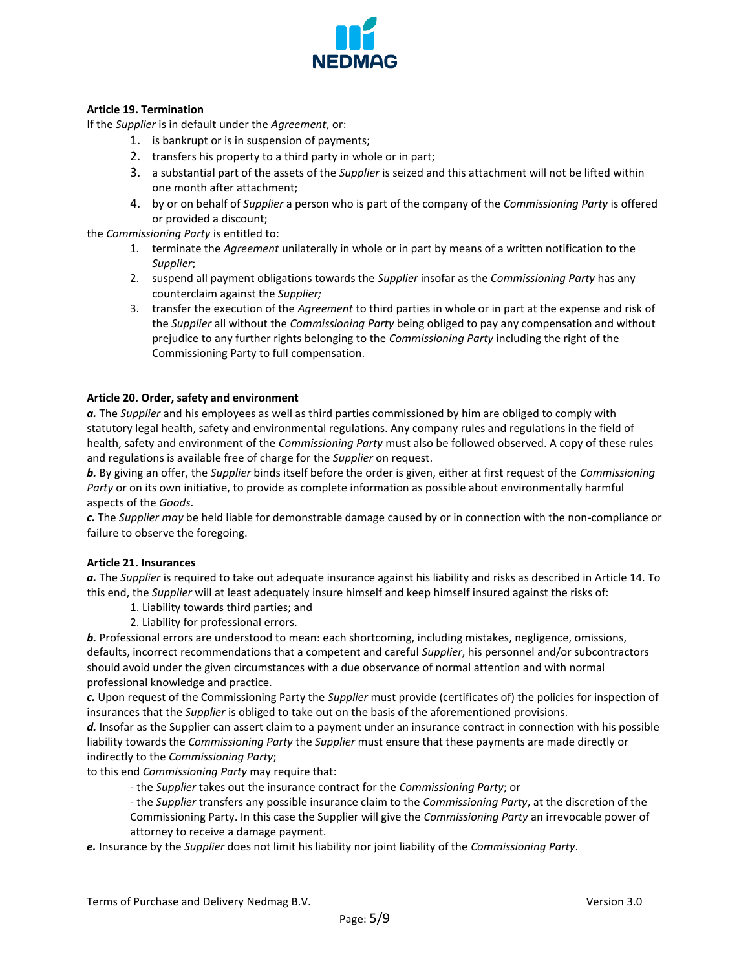

# **Article 19. Termination**

If the *Supplier* is in default under the *Agreement*, or:

- 1. is bankrupt or is in suspension of payments;
- 2. transfers his property to a third party in whole or in part;
- 3. a substantial part of the assets of the *Supplier* is seized and this attachment will not be lifted within one month after attachment;
- 4. by or on behalf of *Supplier* a person who is part of the company of the *Commissioning Party* is offered or provided a discount;

the *Commissioning Party* is entitled to:

- 1. terminate the *Agreement* unilaterally in whole or in part by means of a written notification to the *Supplier*;
- 2. suspend all payment obligations towards the *Supplier* insofar as the *Commissioning Party* has any counterclaim against the *Supplier;*
- 3. transfer the execution of the *Agreement* to third parties in whole or in part at the expense and risk of the *Supplier* all without the *Commissioning Party* being obliged to pay any compensation and without prejudice to any further rights belonging to the *Commissioning Party* including the right of the Commissioning Party to full compensation.

## **Article 20. Order, safety and environment**

*a.* The *Supplier* and his employees as well as third parties commissioned by him are obliged to comply with statutory legal health, safety and environmental regulations. Any company rules and regulations in the field of health, safety and environment of the *Commissioning Party* must also be followed observed. A copy of these rules and regulations is available free of charge for the *Supplier* on request.

*b.* By giving an offer, the *Supplier* binds itself before the order is given, either at first request of the *Commissioning Party* or on its own initiative, to provide as complete information as possible about environmentally harmful aspects of the *Goods*.

*c.* The *Supplier may* be held liable for demonstrable damage caused by or in connection with the non-compliance or failure to observe the foregoing.

### **Article 21. Insurances**

*a.* The *Supplier* is required to take out adequate insurance against his liability and risks as described in Article 14. To this end, the *Supplier* will at least adequately insure himself and keep himself insured against the risks of:

- 1. Liability towards third parties; and
- 2. Liability for professional errors.

*b.* Professional errors are understood to mean: each shortcoming, including mistakes, negligence, omissions, defaults, incorrect recommendations that a competent and careful *Supplier*, his personnel and/or subcontractors should avoid under the given circumstances with a due observance of normal attention and with normal professional knowledge and practice.

*c.* Upon request of the Commissioning Party the *Supplier* must provide (certificates of) the policies for inspection of insurances that the *Supplier* is obliged to take out on the basis of the aforementioned provisions.

*d.* Insofar as the Supplier can assert claim to a payment under an insurance contract in connection with his possible liability towards the *Commissioning Party* the *Supplier* must ensure that these payments are made directly or indirectly to the *Commissioning Party*;

to this end *Commissioning Party* may require that:

- the *Supplier* takes out the insurance contract for the *Commissioning Party*; or
- the *Supplier* transfers any possible insurance claim to the *Commissioning Party*, at the discretion of the Commissioning Party. In this case the Supplier will give the *Commissioning Party* an irrevocable power of attorney to receive a damage payment.

*e.* Insurance by the *Supplier* does not limit his liability nor joint liability of the *Commissioning Party*.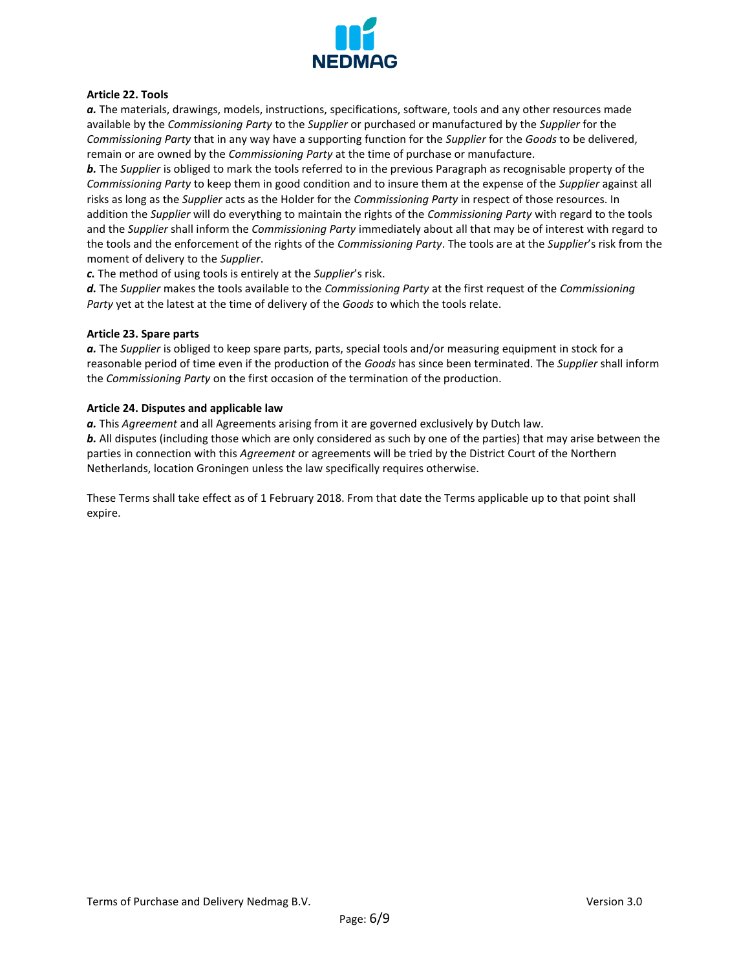

## **Article 22. Tools**

*a.* The materials, drawings, models, instructions, specifications, software, tools and any other resources made available by the *Commissioning Party* to the *Supplier* or purchased or manufactured by the *Supplier* for the *Commissioning Party* that in any way have a supporting function for the *Supplier* for the *Goods* to be delivered, remain or are owned by the *Commissioning Party* at the time of purchase or manufacture.

*b.* The *Supplier* is obliged to mark the tools referred to in the previous Paragraph as recognisable property of the *Commissioning Party* to keep them in good condition and to insure them at the expense of the *Supplier* against all risks as long as the *Supplier* acts as the Holder for the *Commissioning Party* in respect of those resources. In addition the *Supplier* will do everything to maintain the rights of the *Commissioning Party* with regard to the tools and the *Supplier* shall inform the *Commissioning Party* immediately about all that may be of interest with regard to the tools and the enforcement of the rights of the *Commissioning Party*. The tools are at the *Supplier*'s risk from the moment of delivery to the *Supplier*.

*c.* The method of using tools is entirely at the *Supplier*'s risk.

*d.* The *Supplier* makes the tools available to the *Commissioning Party* at the first request of the *Commissioning Party* yet at the latest at the time of delivery of the *Goods* to which the tools relate.

## **Article 23. Spare parts**

*a.* The *Supplier* is obliged to keep spare parts, parts, special tools and/or measuring equipment in stock for a reasonable period of time even if the production of the *Goods* has since been terminated. The *Supplier* shall inform the *Commissioning Party* on the first occasion of the termination of the production.

## **Article 24. Disputes and applicable law**

*a.* This *Agreement* and all Agreements arising from it are governed exclusively by Dutch law.

*b.* All disputes (including those which are only considered as such by one of the parties) that may arise between the parties in connection with this *Agreement* or agreements will be tried by the District Court of the Northern Netherlands, location Groningen unless the law specifically requires otherwise.

These Terms shall take effect as of 1 February 2018. From that date the Terms applicable up to that point shall expire.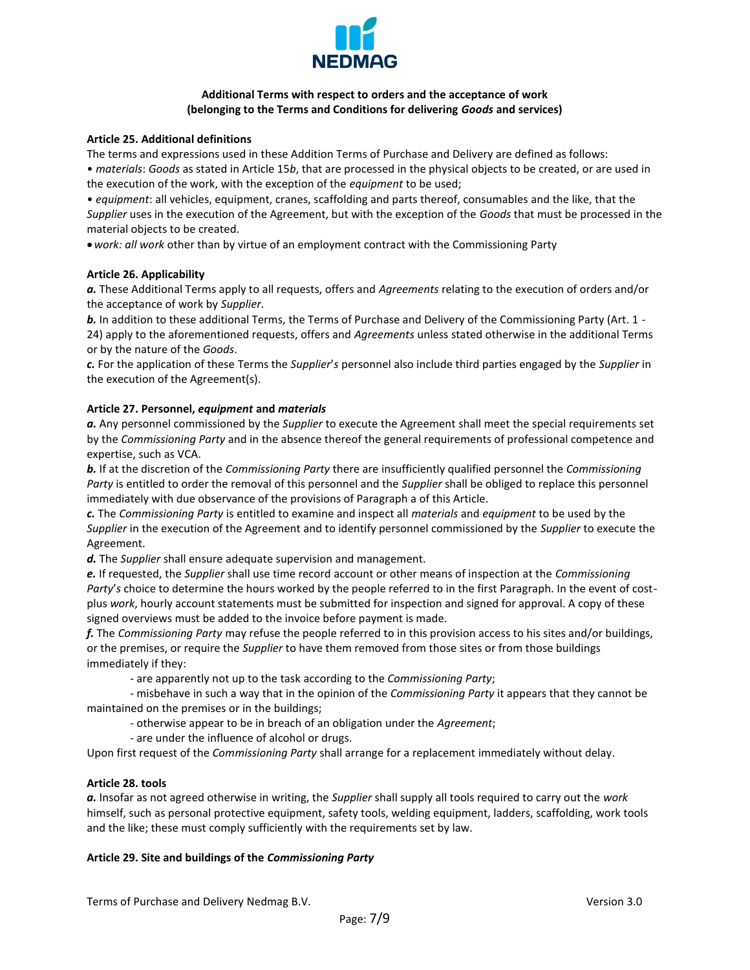

# **Additional Terms with respect to orders and the acceptance of work (belonging to the Terms and Conditions for delivering** *Goods* **and services)**

## **Article 25. Additional definitions**

The terms and expressions used in these Addition Terms of Purchase and Delivery are defined as follows:

• *materials*: *Goods* as stated in Article 15*b*, that are processed in the physical objects to be created, or are used in the execution of the work, with the exception of the *equipment* to be used;

• *equipment*: all vehicles, equipment, cranes, scaffolding and parts thereof, consumables and the like, that the *Supplier* uses in the execution of the Agreement, but with the exception of the *Goods* that must be processed in the material objects to be created.

*work: all work* other than by virtue of an employment contract with the Commissioning Party

## **Article 26. Applicability**

*a.* These Additional Terms apply to all requests, offers and *Agreements* relating to the execution of orders and/or the acceptance of work by *Supplier*.

*b.* In addition to these additional Terms, the Terms of Purchase and Delivery of the Commissioning Party (Art. 1 - 24) apply to the aforementioned requests, offers and *Agreements* unless stated otherwise in the additional Terms or by the nature of the *Goods*.

*c.* For the application of these Terms the *Supplier*'*s* personnel also include third parties engaged by the *Supplier* in the execution of the Agreement(s).

## **Article 27. Personnel,** *equipment* **and** *materials*

*a.* Any personnel commissioned by the *Supplier* to execute the Agreement shall meet the special requirements set by the *Commissioning Party* and in the absence thereof the general requirements of professional competence and expertise, such as VCA.

*b.* If at the discretion of the *Commissioning Party* there are insufficiently qualified personnel the *Commissioning Party* is entitled to order the removal of this personnel and the *Supplier* shall be obliged to replace this personnel immediately with due observance of the provisions of Paragraph a of this Article.

*c.* The *Commissioning Party* is entitled to examine and inspect all *materials* and *equipment* to be used by the *Supplier* in the execution of the Agreement and to identify personnel commissioned by the *Supplier* to execute the Agreement.

*d.* The *Supplier* shall ensure adequate supervision and management.

*e.* If requested, the *Supplier* shall use time record account or other means of inspection at the *Commissioning Party*'*s* choice to determine the hours worked by the people referred to in the first Paragraph. In the event of costplus *work*, hourly account statements must be submitted for inspection and signed for approval. A copy of these signed overviews must be added to the invoice before payment is made.

*f.* The *Commissioning Party* may refuse the people referred to in this provision access to his sites and/or buildings, or the premises, or require the *Supplier* to have them removed from those sites or from those buildings immediately if they:

- are apparently not up to the task according to the *Commissioning Party*;

- misbehave in such a way that in the opinion of the *Commissioning Party* it appears that they cannot be maintained on the premises or in the buildings;

- otherwise appear to be in breach of an obligation under the *Agreement*;
- are under the influence of alcohol or drugs.

Upon first request of the *Commissioning Party* shall arrange for a replacement immediately without delay.

## **Article 28. tools**

*a.* Insofar as not agreed otherwise in writing, the *Supplier* shall supply all tools required to carry out the *work* himself, such as personal protective equipment, safety tools, welding equipment, ladders, scaffolding, work tools and the like; these must comply sufficiently with the requirements set by law.

### **Article 29. Site and buildings of the** *Commissioning Party*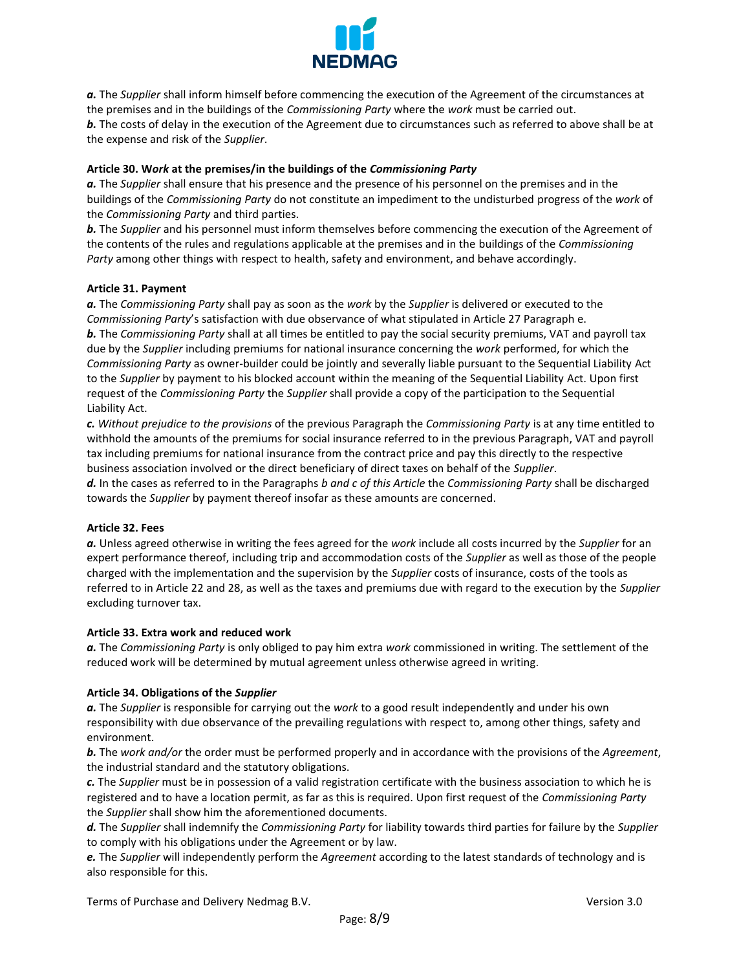

a. The *Supplier* shall inform himself before commencing the execution of the Agreement of the circumstances at the premises and in the buildings of the *Commissioning Party* where the *work* must be carried out. *b.* The costs of delay in the execution of the Agreement due to circumstances such as referred to above shall be at the expense and risk of the *Supplier*.

## **Article 30. W***ork* **at the premises/in the buildings of the** *Commissioning Party*

*a.* The *Supplier* shall ensure that his presence and the presence of his personnel on the premises and in the buildings of the *Commissioning Party* do not constitute an impediment to the undisturbed progress of the *work* of the *Commissioning Party* and third parties.

*b.* The *Supplier* and his personnel must inform themselves before commencing the execution of the Agreement of the contents of the rules and regulations applicable at the premises and in the buildings of the *Commissioning Party* among other things with respect to health, safety and environment, and behave accordingly.

### **Article 31. Payment**

*a.* The *Commissioning Party* shall pay as soon as the *work* by the *Supplier* is delivered or executed to the *Commissioning Party*'s satisfaction with due observance of what stipulated in Article 27 Paragraph e. *b.* The *Commissioning Party* shall at all times be entitled to pay the social security premiums, VAT and payroll tax due by the *Supplier* including premiums for national insurance concerning the *work* performed, for which the *Commissioning Party* as owner-builder could be jointly and severally liable pursuant to the Sequential Liability Act to the *Supplier* by payment to his blocked account within the meaning of the Sequential Liability Act. Upon first request of the *Commissioning Party* the *Supplier* shall provide a copy of the participation to the Sequential Liability Act.

*c. Without prejudice to the provisions* of the previous Paragraph the *Commissioning Party* is at any time entitled to withhold the amounts of the premiums for social insurance referred to in the previous Paragraph, VAT and payroll tax including premiums for national insurance from the contract price and pay this directly to the respective business association involved or the direct beneficiary of direct taxes on behalf of the *Supplier*.

*d.* In the cases as referred to in the Paragraphs *b and c of this Article* the *Commissioning Party* shall be discharged towards the *Supplier* by payment thereof insofar as these amounts are concerned.

### **Article 32. Fees**

*a.* Unless agreed otherwise in writing the fees agreed for the *work* include all costs incurred by the *Supplier* for an expert performance thereof, including trip and accommodation costs of the *Supplier* as well as those of the people charged with the implementation and the supervision by the *Supplier* costs of insurance, costs of the tools as referred to in Article 22 and 28, as well as the taxes and premiums due with regard to the execution by the *Supplier* excluding turnover tax.

### **Article 33. Extra work and reduced work**

*a.* The *Commissioning Party* is only obliged to pay him extra *work* commissioned in writing. The settlement of the reduced work will be determined by mutual agreement unless otherwise agreed in writing.

### **Article 34. Obligations of the** *Supplier*

*a.* The *Supplier* is responsible for carrying out the *work* to a good result independently and under his own responsibility with due observance of the prevailing regulations with respect to, among other things, safety and environment.

*b.* The *work and/or* the order must be performed properly and in accordance with the provisions of the *Agreement*, the industrial standard and the statutory obligations.

*c.* The *Supplier* must be in possession of a valid registration certificate with the business association to which he is registered and to have a location permit, as far as this is required. Upon first request of the *Commissioning Party* the *Supplier* shall show him the aforementioned documents.

*d.* The *Supplier* shall indemnify the *Commissioning Party* for liability towards third parties for failure by the *Supplier* to comply with his obligations under the Agreement or by law.

*e.* The *Supplier* will independently perform the *Agreement* according to the latest standards of technology and is also responsible for this.

Terms of Purchase and Delivery Nedmag B.V. Version 3.0